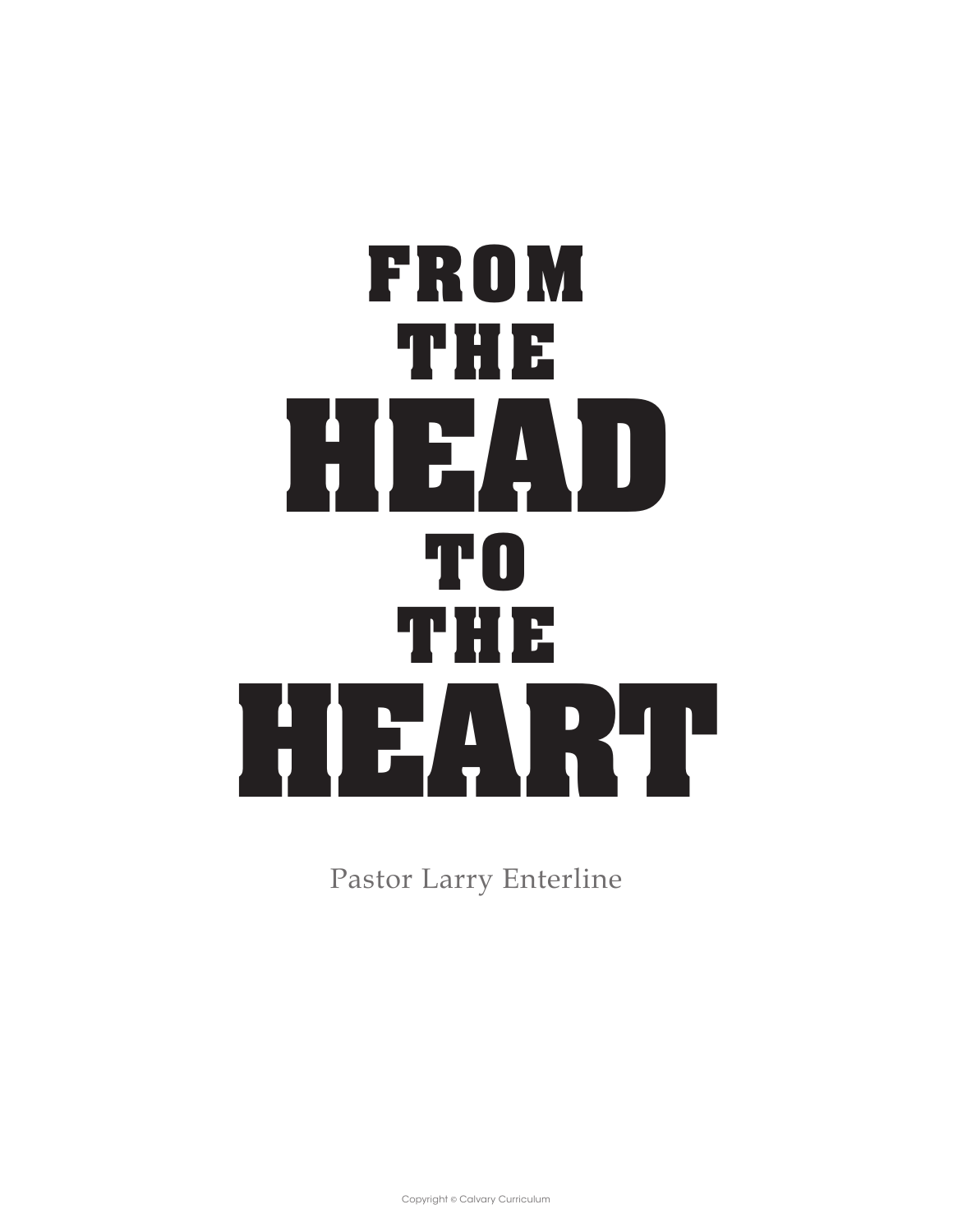# **FROM THE HEAD TO THE HEART**

Pastor Larry Enterline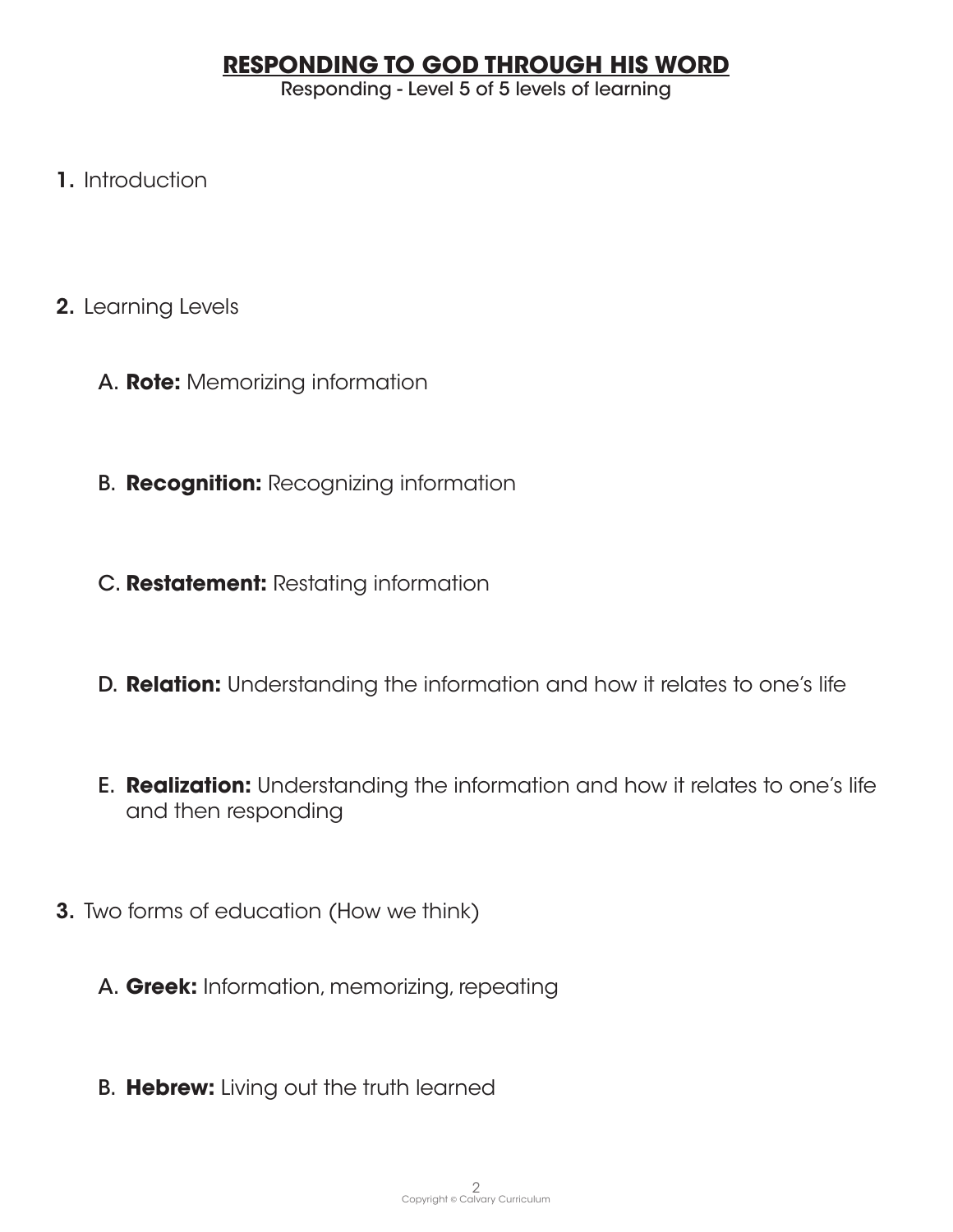# **RESPONDING TO GOD THROUGH HIS WORD**

Responding - Level 5 of 5 levels of learning

- 1. Introduction
- 2. Learning Levels
	- A. **Rote:** Memorizing information
	- B. **Recognition:** Recognizing information
	- C. **Restatement:** Restating information
	- D. **Relation:** Understanding the information and how it relates to one's life
	- E. **Realization:** Understanding the information and how it relates to one's life and then responding
- 3. Two forms of education (How we think)
	- A. **Greek:** Information, memorizing, repeating
	- B. **Hebrew:** Living out the truth learned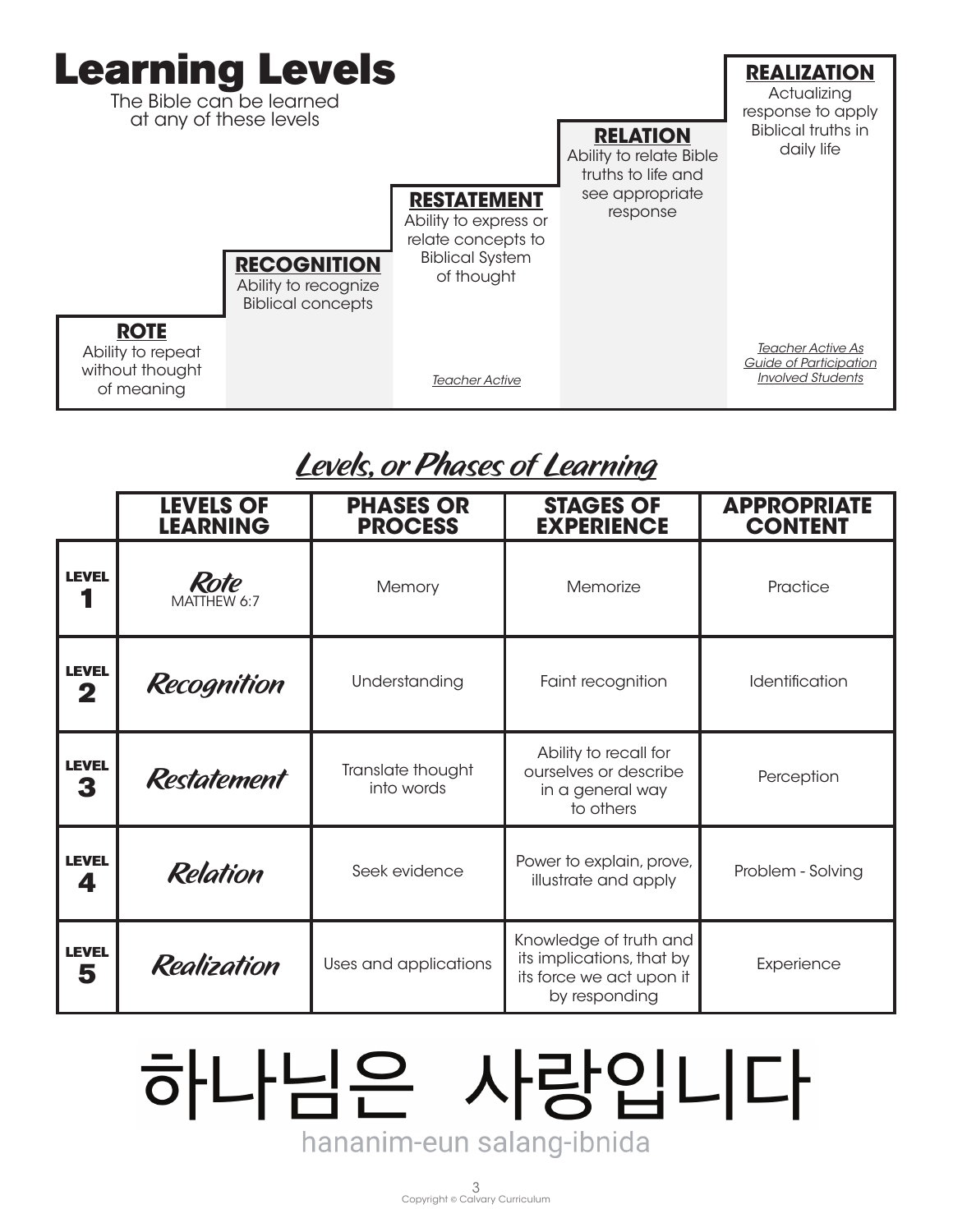| <b>Learning Levels</b><br>The Bible can be learned<br>at any of these levels |                                                                   |                                                                        |                                                                                                           | <b>RELATION</b><br>Ability to relate Bible<br>truths to life and | <b>REALIZATION</b><br>Actualizing<br>response to apply<br><b>Biblical truths in</b><br>daily life |
|------------------------------------------------------------------------------|-------------------------------------------------------------------|------------------------------------------------------------------------|-----------------------------------------------------------------------------------------------------------|------------------------------------------------------------------|---------------------------------------------------------------------------------------------------|
|                                                                              |                                                                   | <b>RECOGNITION</b><br>Ability to recognize<br><b>Biblical concepts</b> | <b>RESTATEMENT</b><br>Ability to express or<br>relate concepts to<br><b>Biblical System</b><br>of thought | see appropriate<br>response                                      |                                                                                                   |
|                                                                              | <b>ROTE</b><br>Ability to repeat<br>without thought<br>of meaning |                                                                        | <b>Teacher Active</b>                                                                                     |                                                                  | <b>Teacher Active As</b><br>Guide of Participation<br><b>Involved Students</b>                    |

# Levels, or Phases of Learning

|                                     | <b>LEVELS OF</b><br><b>LEARNING</b> | <b>PHASES OR</b><br><b>PROCESS</b> | <b>STAGES OF</b><br><b>EXPERIENCE</b>                                                            | <b>APPROPRIATE</b><br><b>CONTENT</b> |
|-------------------------------------|-------------------------------------|------------------------------------|--------------------------------------------------------------------------------------------------|--------------------------------------|
| <b>LEVEL</b><br>Rote<br>MATTHEW 6:7 |                                     | Memory                             | Memorize                                                                                         | Practice                             |
| <b>LEVEL</b><br>2                   | Recognition                         | Understanding                      | Faint recognition                                                                                | Identification                       |
| <b>LEVEL</b><br>3                   | <b>Restatement</b>                  | Translate thought<br>into words    | Ability to recall for<br>ourselves or describe<br>in a general way<br>to others                  | Perception                           |
| <b>LEVEL</b><br>4                   | <b>Relation</b>                     | Seek evidence                      | Power to explain, prove,<br>illustrate and apply                                                 | Problem - Solving                    |
| <b>LEVEL</b><br>5                   | Realization                         | Uses and applications              | Knowledge of truth and<br>its implications, that by<br>its force we act upon it<br>by responding | Experience                           |

# 하나님은 사랑입니다 hananim-eun salang-ibnida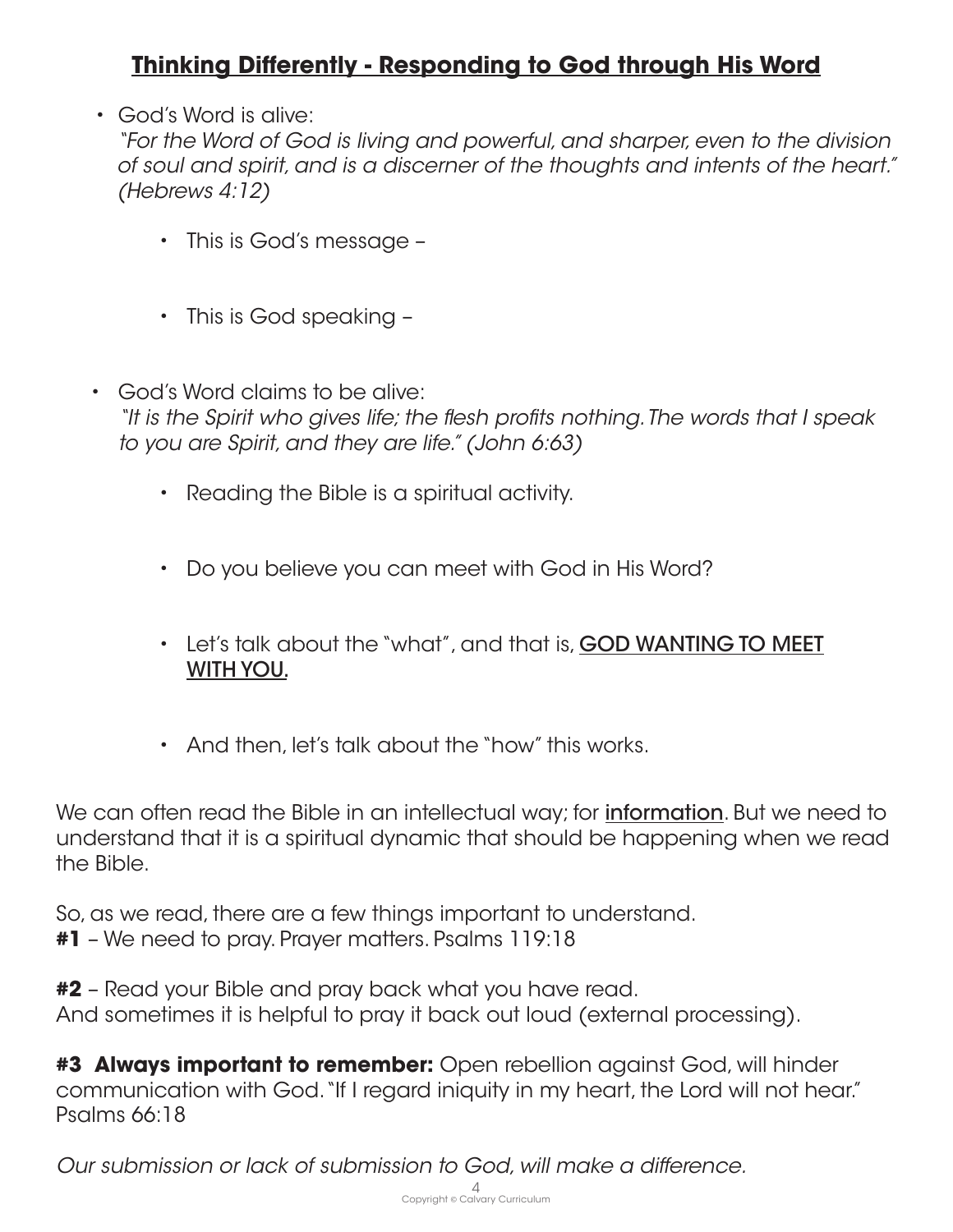# **Thinking Differently - Responding to God through His Word**

• God's Word is alive:

*"For the Word of God is living and powerful, and sharper, even to the division of soul and spirit, and is a discerner of the thoughts and intents of the heart." (Hebrews 4:12)*

- This is God's message –
- This is God speaking –
- God's Word claims to be alive: *"It is the Spirit who gives life; the flesh profits nothing. The words that I speak to you are Spirit, and they are life." (John 6:63)* 
	- Reading the Bible is a spiritual activity.
	- Do you believe you can meet with God in His Word?
	- Let's talk about the "what", and that is, GOD WANTING TO MEET WITH YOU.
	- And then, let's talk about the "how" this works.

We can often read the Bible in an intellectual way; for **information**. But we need to understand that it is a spiritual dynamic that should be happening when we read the Bible.

So, as we read, there are a few things important to understand. **#1** – We need to pray. Prayer matters. Psalms 119:18

**#2** – Read your Bible and pray back what you have read. And sometimes it is helpful to pray it back out loud (external processing).

**#3 Always important to remember:** Open rebellion against God, will hinder communication with God. "If I regard iniquity in my heart, the Lord will not hear." Psalms 66:18

*Our submission or lack of submission to God, will make a difference.*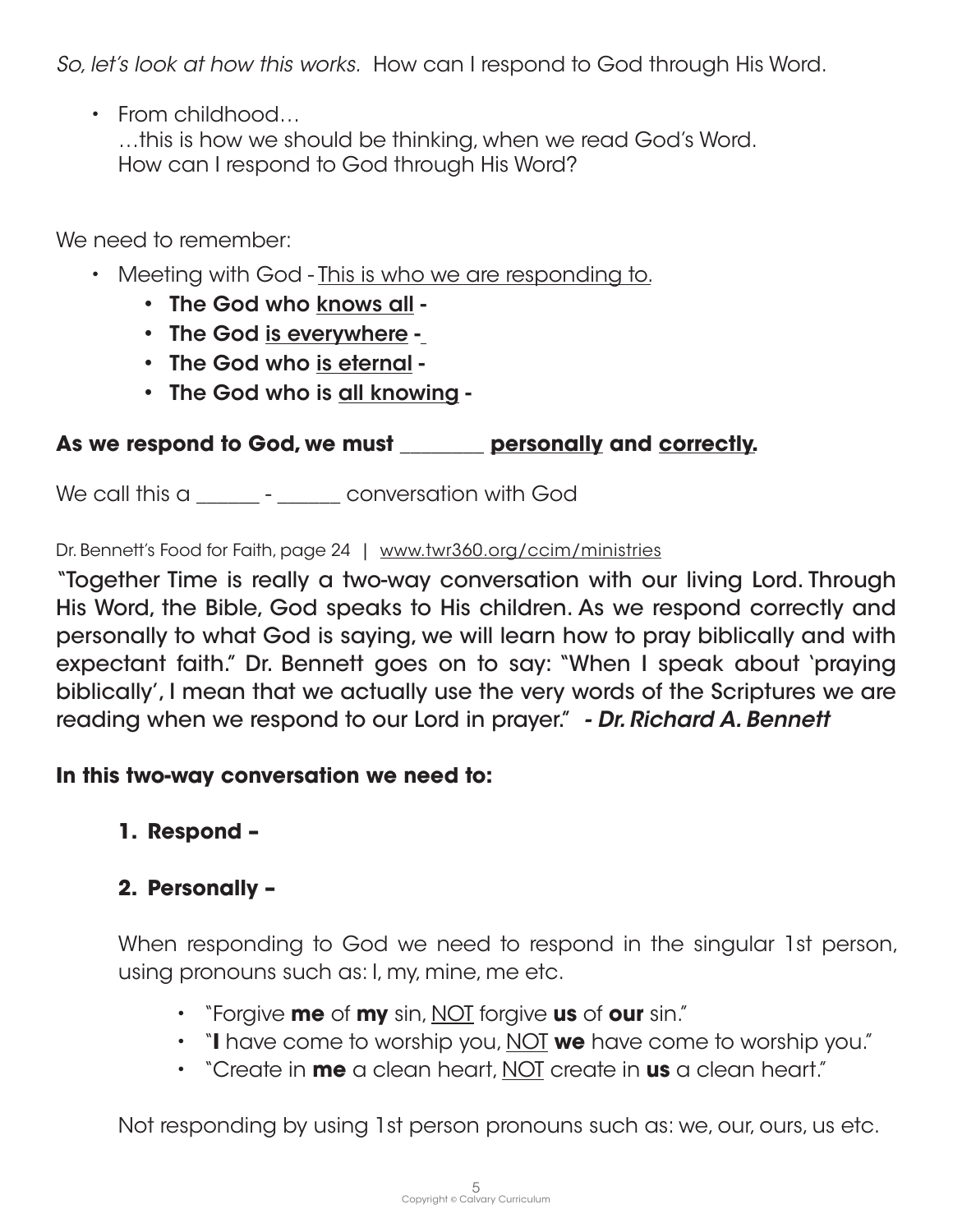*So, let's look at how this works.* How can I respond to God through His Word.

• From childhood…

…this is how we should be thinking, when we read God's Word. How can I respond to God through His Word?

We need to remember:

- Meeting with God This is who we are responding to.
	- The God who knows all -
	- The God is everywhere -
	- The God who is eternal -
	- The God who is all knowing -

## **As we respond to God, we must \_\_\_\_\_\_\_\_ personally and correctly.**

We call this a \_\_\_\_\_\_\_ - \_\_\_\_\_\_ conversation with God

Dr. Bennett's Food for Faith, page 24 | www.twr360.org/ccim/ministries

"Together Time is really a two-way conversation with our living Lord. Through His Word, the Bible, God speaks to His children. As we respond correctly and personally to what God is saying, we will learn how to pray biblically and with expectant faith." Dr. Bennett goes on to say: "When I speak about 'praying biblically', I mean that we actually use the very words of the Scriptures we are reading when we respond to our Lord in prayer." *- Dr. Richard A. Bennett*

### **In this two-way conversation we need to:**

# **1. Respond –**

# **2. Personally –**

When responding to God we need to respond in the singular 1st person, using pronouns such as: I, my, mine, me etc.

- "Forgive **me** of **my** sin, NOT forgive **us** of **our** sin."
- "**I** have come to worship you, NOT **we** have come to worship you."
- "Create in **me** a clean heart, NOT create in **us** a clean heart."

Not responding by using 1st person pronouns such as: we, our, ours, us etc.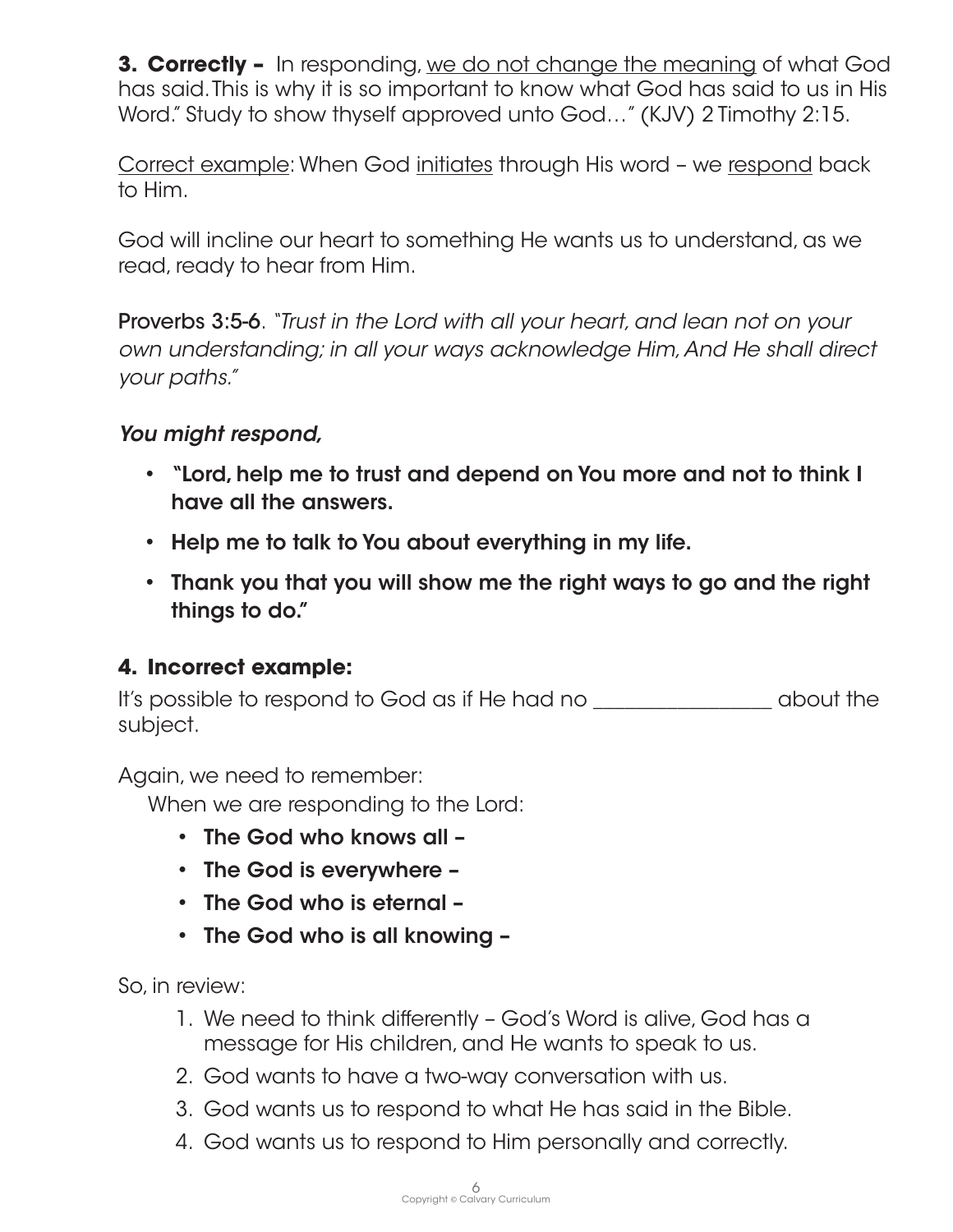**3. Correctly –** In responding, we do not change the meaning of what God has said. This is why it is so important to know what God has said to us in His Word." Study to show thyself approved unto God..." (KJV) 2 Timothy 2:15.

Correct example: When God initiates through His word – we respond back to Him.

God will incline our heart to something He wants us to understand, as we read, ready to hear from Him.

Proverbs 3:5-6. *"Trust in the Lord with all your heart, and lean not on your own understanding; in all your ways acknowledge Him, And He shall direct your paths."*

#### *You might respond,*

- "Lord, help me to trust and depend on You more and not to think I have all the answers.
- Help me to talk to You about everything in my life.
- Thank you that you will show me the right ways to go and the right things to do."

#### **4. Incorrect example:**

It's possible to respond to God as if He had no \_\_\_\_\_\_\_\_\_\_\_\_\_\_\_\_\_ about the subject.

Again, we need to remember:

When we are responding to the Lord:

- The God who knows all –
- The God is everywhere –
- The God who is eternal –
- The God who is all knowing –

So, in review:

- 1. We need to think differently God's Word is alive, God has a message for His children, and He wants to speak to us.
- 2. God wants to have a two-way conversation with us.
- 3. God wants us to respond to what He has said in the Bible.
- 4. God wants us to respond to Him personally and correctly.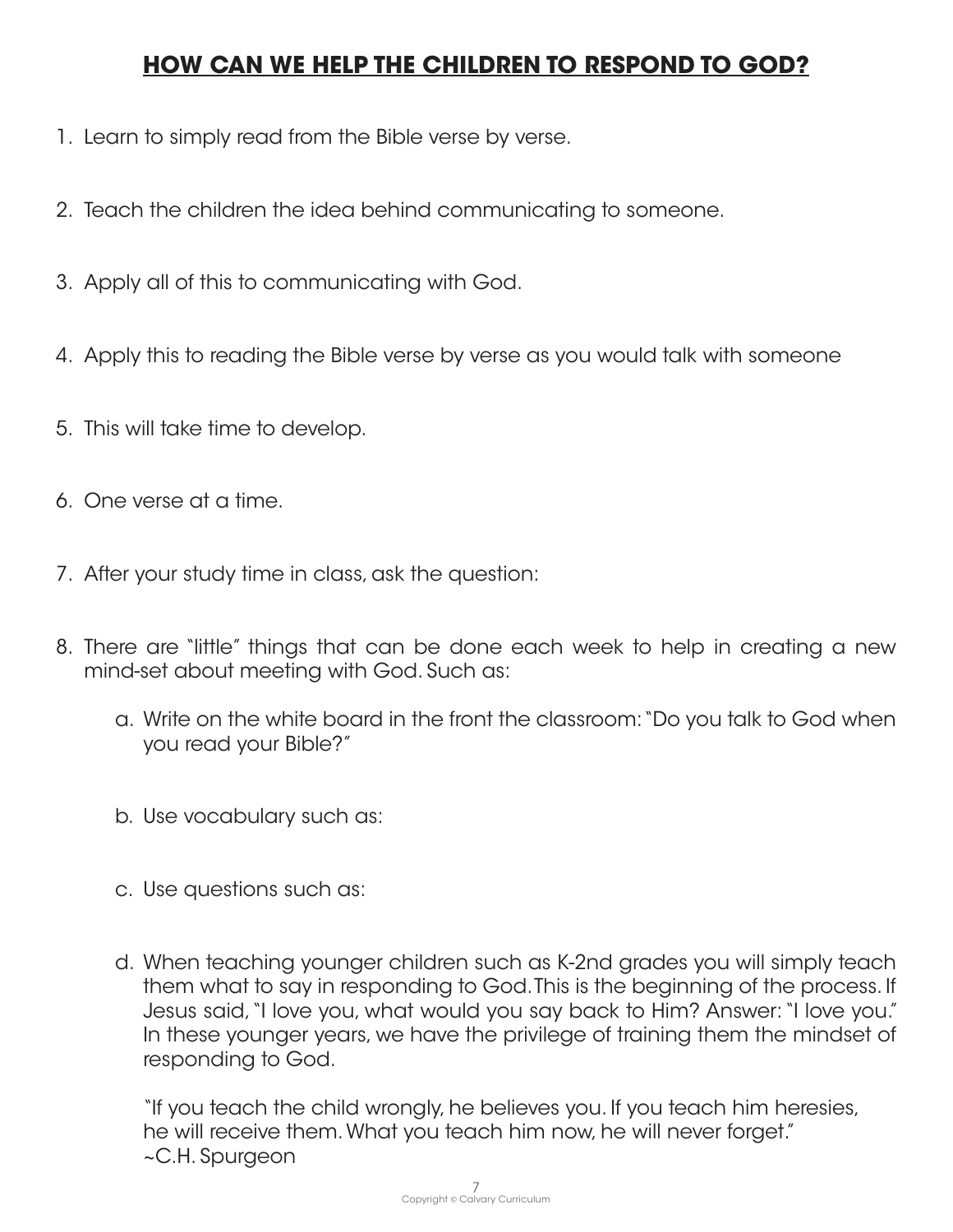# **HOW CAN WE HELP THE CHILDREN TO RESPOND TO GOD?**

- 1. Learn to simply read from the Bible verse by verse.
- 2. Teach the children the idea behind communicating to someone.
- 3. Apply all of this to communicating with God.
- 4. Apply this to reading the Bible verse by verse as you would talk with someone
- 5. This will take time to develop.
- 6. One verse at a time.
- 7. After your study time in class, ask the question:
- 8. There are "little" things that can be done each week to help in creating a new mind-set about meeting with God. Such as:
	- a. Write on the white board in the front the classroom: "Do you talk to God when you read your Bible?"
	- b. Use vocabulary such as:
	- c. Use questions such as:
	- d. When teaching younger children such as K-2nd grades you will simply teach them what to say in responding to God. This is the beginning of the process. If Jesus said, "I love you, what would you say back to Him? Answer: "I love you." In these younger years, we have the privilege of training them the mindset of responding to God.

"If you teach the child wrongly, he believes you. If you teach him heresies, he will receive them. What you teach him now, he will never forget." ~C.H. Spurgeon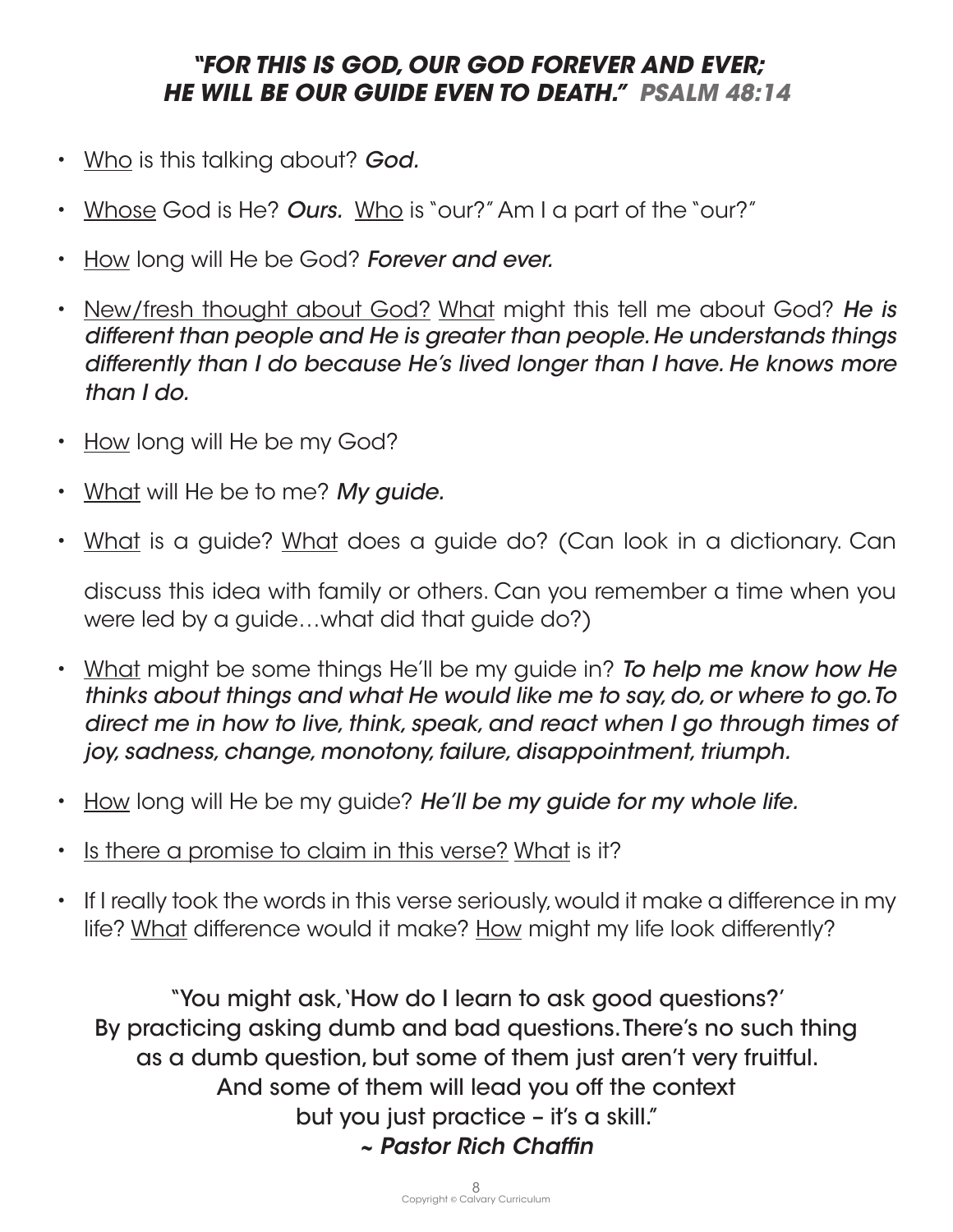# *"FOR THIS IS GOD, OUR GOD FOREVER AND EVER; HE WILL BE OUR GUIDE EVEN TO DEATH." PSALM 48:14*

- Who is this talking about? *God.*
- Whose God is He? *Ours.* Who is "our?" Am I a part of the "our?"
- How long will He be God? *Forever and ever.*
- New/fresh thought about God? What might this tell me about God? *He is different than people and He is greater than people. He understands things differently than I do because He's lived longer than I have. He knows more than I do.*
- How long will He be my God?
- What will He be to me? *My guide.*
- What is a guide? What does a guide do? (Can look in a dictionary. Can

discuss this idea with family or others. Can you remember a time when you were led by a guide…what did that guide do?)

- What might be some things He'll be my guide in? *To help me know how He thinks about things and what He would like me to say, do, or where to go. To direct me in how to live, think, speak, and react when I go through times of joy, sadness, change, monotony, failure, disappointment, triumph.*
- How long will He be my guide? *He'll be my guide for my whole life.*
- Is there a promise to claim in this verse? What is it?
- If I really took the words in this verse seriously, would it make a difference in my life? What difference would it make? How might my life look differently?

"You might ask, 'How do I learn to ask good questions?' By practicing asking dumb and bad questions. There's no such thing as a dumb question, but some of them just aren't very fruitful. And some of them will lead you off the context but you just practice – it's a skill." *~ Pastor Rich Chaffin*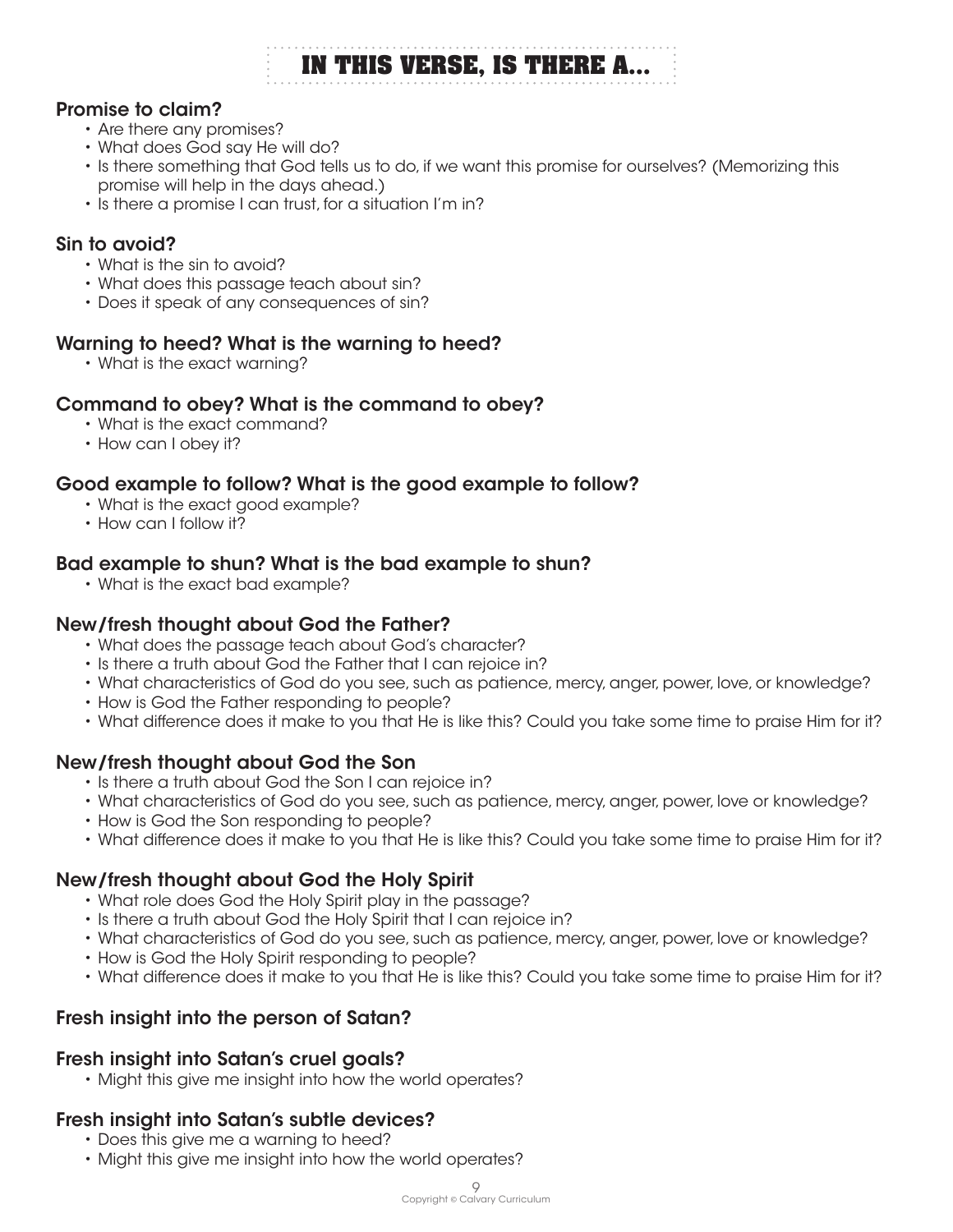# **IN THIS VERSE, IS THERE A...**

#### Promise to claim?

- Are there any promises?
- What does God say He will do?
- Is there something that God tells us to do, if we want this promise for ourselves? (Memorizing this promise will help in the days ahead.)
- Is there a promise I can trust, for a situation I'm in?

#### Sin to avoid?

- What is the sin to avoid?
- What does this passage teach about sin?
- Does it speak of any consequences of sin?

#### Warning to heed? What is the warning to heed?

• What is the exact warning?

#### Command to obey? What is the command to obey?

- What is the exact command?
- How can I obey it?

#### Good example to follow? What is the good example to follow?

- What is the exact good example?
- How can I follow it?

#### Bad example to shun? What is the bad example to shun?

• What is the exact bad example?

#### New/fresh thought about God the Father?

- What does the passage teach about God's character?
- Is there a truth about God the Father that I can rejoice in?
- What characteristics of God do you see, such as patience, mercy, anger, power, love, or knowledge?
- How is God the Father responding to people?
- What difference does it make to you that He is like this? Could you take some time to praise Him for it?

#### New/fresh thought about God the Son

- Is there a truth about God the Son I can rejoice in?
- What characteristics of God do you see, such as patience, mercy, anger, power, love or knowledge?
- How is God the Son responding to people?
- What difference does it make to you that He is like this? Could you take some time to praise Him for it?

#### New/fresh thought about God the Holy Spirit

- What role does God the Holy Spirit play in the passage?
- Is there a truth about God the Holy Spirit that I can rejoice in?
- What characteristics of God do you see, such as patience, mercy, anger, power, love or knowledge?
- How is God the Holy Spirit responding to people?
- What difference does it make to you that He is like this? Could you take some time to praise Him for it?

#### Fresh insight into the person of Satan?

#### Fresh insight into Satan's cruel goals?

• Might this give me insight into how the world operates?

#### Fresh insight into Satan's subtle devices?

- Does this give me a warning to heed?
- Might this give me insight into how the world operates?